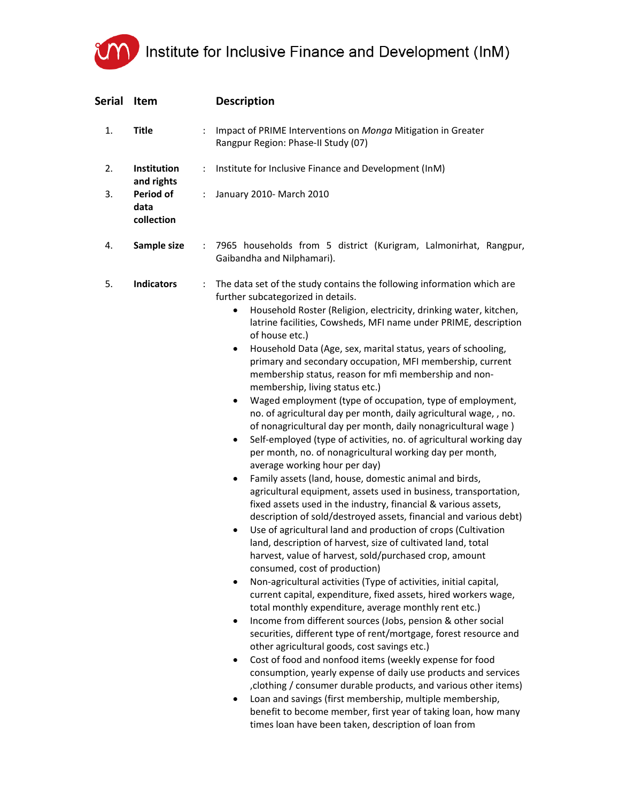## Institute for Inclusive Finance and Development (InM)

| <b>Serial</b> | Item                                          |                      | <b>Description</b>                                                                                                                                                                                                                                                                                                                                                                                                                                                                                                                                                                                                                                                                                                                                                                                                                                                                                                                                                                                                                                                                                                                                                                                                                                                                                                                                                                                                                                                                                                                                                                                                                                                                                                                                                                                                                                                                                                                                                                                                                                                                                                                                                                                                                                                        |
|---------------|-----------------------------------------------|----------------------|---------------------------------------------------------------------------------------------------------------------------------------------------------------------------------------------------------------------------------------------------------------------------------------------------------------------------------------------------------------------------------------------------------------------------------------------------------------------------------------------------------------------------------------------------------------------------------------------------------------------------------------------------------------------------------------------------------------------------------------------------------------------------------------------------------------------------------------------------------------------------------------------------------------------------------------------------------------------------------------------------------------------------------------------------------------------------------------------------------------------------------------------------------------------------------------------------------------------------------------------------------------------------------------------------------------------------------------------------------------------------------------------------------------------------------------------------------------------------------------------------------------------------------------------------------------------------------------------------------------------------------------------------------------------------------------------------------------------------------------------------------------------------------------------------------------------------------------------------------------------------------------------------------------------------------------------------------------------------------------------------------------------------------------------------------------------------------------------------------------------------------------------------------------------------------------------------------------------------------------------------------------------------|
| 1.            | <b>Title</b>                                  |                      | Impact of PRIME Interventions on Monga Mitigation in Greater<br>Rangpur Region: Phase-II Study (07)                                                                                                                                                                                                                                                                                                                                                                                                                                                                                                                                                                                                                                                                                                                                                                                                                                                                                                                                                                                                                                                                                                                                                                                                                                                                                                                                                                                                                                                                                                                                                                                                                                                                                                                                                                                                                                                                                                                                                                                                                                                                                                                                                                       |
| 2.            | <b>Institution</b>                            | ÷                    | Institute for Inclusive Finance and Development (InM)                                                                                                                                                                                                                                                                                                                                                                                                                                                                                                                                                                                                                                                                                                                                                                                                                                                                                                                                                                                                                                                                                                                                                                                                                                                                                                                                                                                                                                                                                                                                                                                                                                                                                                                                                                                                                                                                                                                                                                                                                                                                                                                                                                                                                     |
| 3.            | and rights<br>Period of<br>data<br>collection | ÷                    | January 2010- March 2010                                                                                                                                                                                                                                                                                                                                                                                                                                                                                                                                                                                                                                                                                                                                                                                                                                                                                                                                                                                                                                                                                                                                                                                                                                                                                                                                                                                                                                                                                                                                                                                                                                                                                                                                                                                                                                                                                                                                                                                                                                                                                                                                                                                                                                                  |
| 4.            | Sample size                                   | $\ddot{\phantom{a}}$ | 7965 households from 5 district (Kurigram, Lalmonirhat, Rangpur,<br>Gaibandha and Nilphamari).                                                                                                                                                                                                                                                                                                                                                                                                                                                                                                                                                                                                                                                                                                                                                                                                                                                                                                                                                                                                                                                                                                                                                                                                                                                                                                                                                                                                                                                                                                                                                                                                                                                                                                                                                                                                                                                                                                                                                                                                                                                                                                                                                                            |
| 5.            | <b>Indicators</b>                             | ÷                    | The data set of the study contains the following information which are<br>further subcategorized in details.<br>Household Roster (Religion, electricity, drinking water, kitchen,<br>$\bullet$<br>latrine facilities, Cowsheds, MFI name under PRIME, description<br>of house etc.)<br>Household Data (Age, sex, marital status, years of schooling,<br>$\bullet$<br>primary and secondary occupation, MFI membership, current<br>membership status, reason for mfi membership and non-<br>membership, living status etc.)<br>Waged employment (type of occupation, type of employment,<br>$\bullet$<br>no. of agricultural day per month, daily agricultural wage, , no.<br>of nonagricultural day per month, daily nonagricultural wage)<br>Self-employed (type of activities, no. of agricultural working day<br>$\bullet$<br>per month, no. of nonagricultural working day per month,<br>average working hour per day)<br>Family assets (land, house, domestic animal and birds,<br>$\bullet$<br>agricultural equipment, assets used in business, transportation,<br>fixed assets used in the industry, financial & various assets,<br>description of sold/destroyed assets, financial and various debt)<br>Use of agricultural land and production of crops (Cultivation<br>$\bullet$<br>land, description of harvest, size of cultivated land, total<br>harvest, value of harvest, sold/purchased crop, amount<br>consumed, cost of production)<br>Non-agricultural activities (Type of activities, initial capital,<br>$\bullet$<br>current capital, expenditure, fixed assets, hired workers wage,<br>total monthly expenditure, average monthly rent etc.)<br>Income from different sources (Jobs, pension & other social<br>$\bullet$<br>securities, different type of rent/mortgage, forest resource and<br>other agricultural goods, cost savings etc.)<br>Cost of food and nonfood items (weekly expense for food<br>$\bullet$<br>consumption, yearly expense of daily use products and services<br>clothing / consumer durable products, and various other items)<br>Loan and savings (first membership, multiple membership,<br>٠<br>benefit to become member, first year of taking loan, how many<br>times loan have been taken, description of loan from |